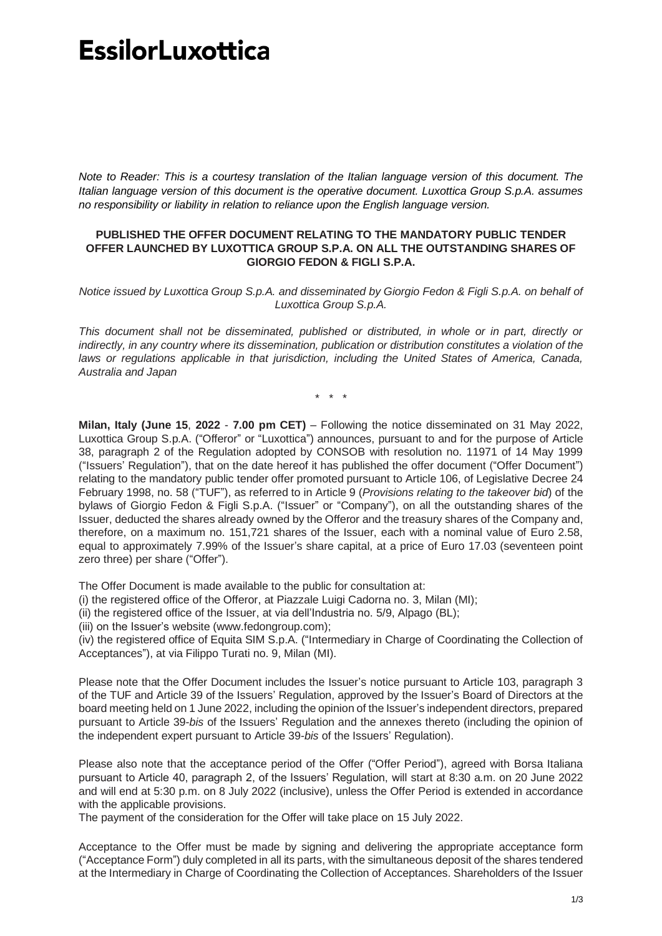## **EssilorLuxottica**

*Note to Reader: This is a courtesy translation of the Italian language version of this document. The Italian language version of this document is the operative document. Luxottica Group S.p.A. assumes no responsibility or liability in relation to reliance upon the English language version.*

## **PUBLISHED THE OFFER DOCUMENT RELATING TO THE MANDATORY PUBLIC TENDER OFFER LAUNCHED BY LUXOTTICA GROUP S.P.A. ON ALL THE OUTSTANDING SHARES OF GIORGIO FEDON & FIGLI S.P.A.**

*Notice issued by Luxottica Group S.p.A. and disseminated by Giorgio Fedon & Figli S.p.A. on behalf of Luxottica Group S.p.A.*

*This document shall not be disseminated, published or distributed, in whole or in part, directly or indirectly, in any country where its dissemination, publication or distribution constitutes a violation of the*  laws or regulations applicable in that jurisdiction, including the United States of America, Canada, *Australia and Japan*

\* \* \*

**Milan, Italy (June 15**, **2022** - **7.00 pm CET)** – Following the notice disseminated on 31 May 2022, Luxottica Group S.p.A. ("Offeror" or "Luxottica") announces, pursuant to and for the purpose of Article 38, paragraph 2 of the Regulation adopted by CONSOB with resolution no. 11971 of 14 May 1999 ("Issuers' Regulation"), that on the date hereof it has published the offer document ("Offer Document") relating to the mandatory public tender offer promoted pursuant to Article 106, of Legislative Decree 24 February 1998, no. 58 ("TUF"), as referred to in Article 9 (*Provisions relating to the takeover bid*) of the bylaws of Giorgio Fedon & Figli S.p.A. ("Issuer" or "Company"), on all the outstanding shares of the Issuer, deducted the shares already owned by the Offeror and the treasury shares of the Company and, therefore, on a maximum no. 151,721 shares of the Issuer, each with a nominal value of Euro 2.58, equal to approximately 7.99% of the Issuer's share capital, at a price of Euro 17.03 (seventeen point zero three) per share ("Offer").

The Offer Document is made available to the public for consultation at:

(i) the registered office of the Offeror, at Piazzale Luigi Cadorna no. 3, Milan (MI);

(ii) the registered office of the Issuer, at via dell'Industria no. 5/9, Alpago (BL);

(iii) on the Issuer's website (www.fedongroup.com);

(iv) the registered office of Equita SIM S.p.A. ("Intermediary in Charge of Coordinating the Collection of Acceptances"), at via Filippo Turati no. 9, Milan (MI).

Please note that the Offer Document includes the Issuer's notice pursuant to Article 103, paragraph 3 of the TUF and Article 39 of the Issuers' Regulation, approved by the Issuer's Board of Directors at the board meeting held on 1 June 2022, including the opinion of the Issuer's independent directors, prepared pursuant to Article 39-*bis* of the Issuers' Regulation and the annexes thereto (including the opinion of the independent expert pursuant to Article 39-*bis* of the Issuers' Regulation).

Please also note that the acceptance period of the Offer ("Offer Period"), agreed with Borsa Italiana pursuant to Article 40, paragraph 2, of the Issuers' Regulation, will start at 8:30 a.m. on 20 June 2022 and will end at 5:30 p.m. on 8 July 2022 (inclusive), unless the Offer Period is extended in accordance with the applicable provisions.

The payment of the consideration for the Offer will take place on 15 July 2022.

Acceptance to the Offer must be made by signing and delivering the appropriate acceptance form ("Acceptance Form") duly completed in all its parts, with the simultaneous deposit of the shares tendered at the Intermediary in Charge of Coordinating the Collection of Acceptances. Shareholders of the Issuer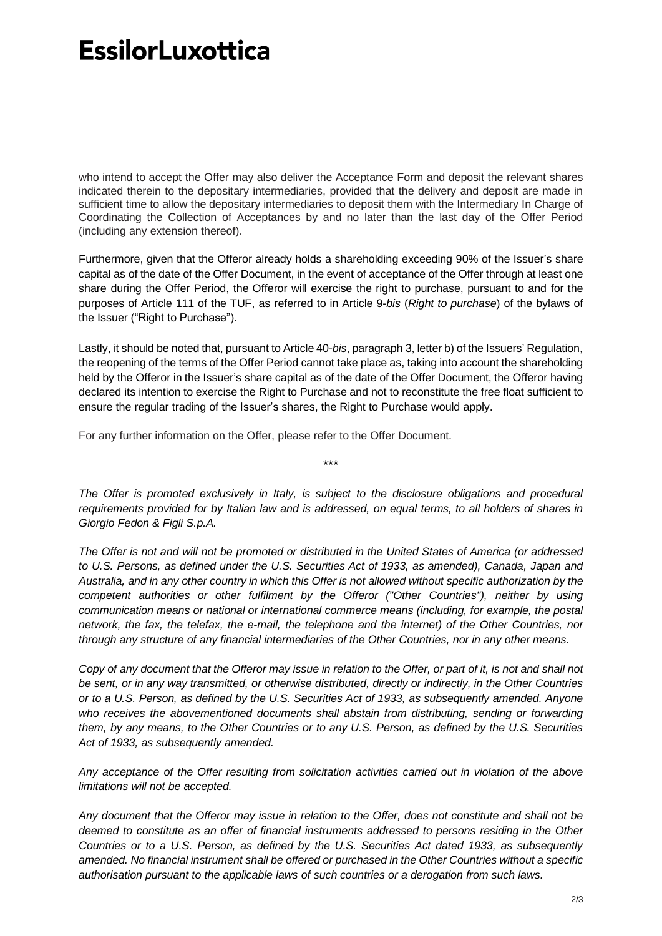## **EssilorLuxottica**

who intend to accept the Offer may also deliver the Acceptance Form and deposit the relevant shares indicated therein to the depositary intermediaries, provided that the delivery and deposit are made in sufficient time to allow the depositary intermediaries to deposit them with the Intermediary In Charge of Coordinating the Collection of Acceptances by and no later than the last day of the Offer Period (including any extension thereof).

Furthermore, given that the Offeror already holds a shareholding exceeding 90% of the Issuer's share capital as of the date of the Offer Document, in the event of acceptance of the Offer through at least one share during the Offer Period, the Offeror will exercise the right to purchase, pursuant to and for the purposes of Article 111 of the TUF, as referred to in Article 9-*bis* (*Right to purchase*) of the bylaws of the Issuer ("Right to Purchase").

Lastly, it should be noted that, pursuant to Article 40-*bis*, paragraph 3, letter b) of the Issuers' Regulation, the reopening of the terms of the Offer Period cannot take place as, taking into account the shareholding held by the Offeror in the Issuer's share capital as of the date of the Offer Document, the Offeror having declared its intention to exercise the Right to Purchase and not to reconstitute the free float sufficient to ensure the regular trading of the Issuer's shares, the Right to Purchase would apply.

For any further information on the Offer, please refer to the Offer Document.

*The Offer is promoted exclusively in Italy, is subject to the disclosure obligations and procedural requirements provided for by Italian law and is addressed, on equal terms, to all holders of shares in Giorgio Fedon & Figli S.p.A.*

\*\*\*

*The Offer is not and will not be promoted or distributed in the United States of America (or addressed to U.S. Persons, as defined under the U.S. Securities Act of 1933, as amended), Canada, Japan and Australia, and in any other country in which this Offer is not allowed without specific authorization by the competent authorities or other fulfilment by the Offeror ("Other Countries"), neither by using communication means or national or international commerce means (including, for example, the postal network, the fax, the telefax, the e-mail, the telephone and the internet) of the Other Countries, nor through any structure of any financial intermediaries of the Other Countries, nor in any other means.*

Copy of any document that the Offeror may issue in relation to the Offer, or part of it, is not and shall not *be sent, or in any way transmitted, or otherwise distributed, directly or indirectly, in the Other Countries or to a U.S. Person, as defined by the U.S. Securities Act of 1933, as subsequently amended. Anyone who receives the abovementioned documents shall abstain from distributing, sending or forwarding them, by any means, to the Other Countries or to any U.S. Person, as defined by the U.S. Securities Act of 1933, as subsequently amended.*

*Any acceptance of the Offer resulting from solicitation activities carried out in violation of the above limitations will not be accepted.*

*Any document that the Offeror may issue in relation to the Offer, does not constitute and shall not be deemed to constitute as an offer of financial instruments addressed to persons residing in the Other Countries or to a U.S. Person, as defined by the U.S. Securities Act dated 1933, as subsequently amended. No financial instrument shall be offered or purchased in the Other Countries without a specific authorisation pursuant to the applicable laws of such countries or a derogation from such laws.*